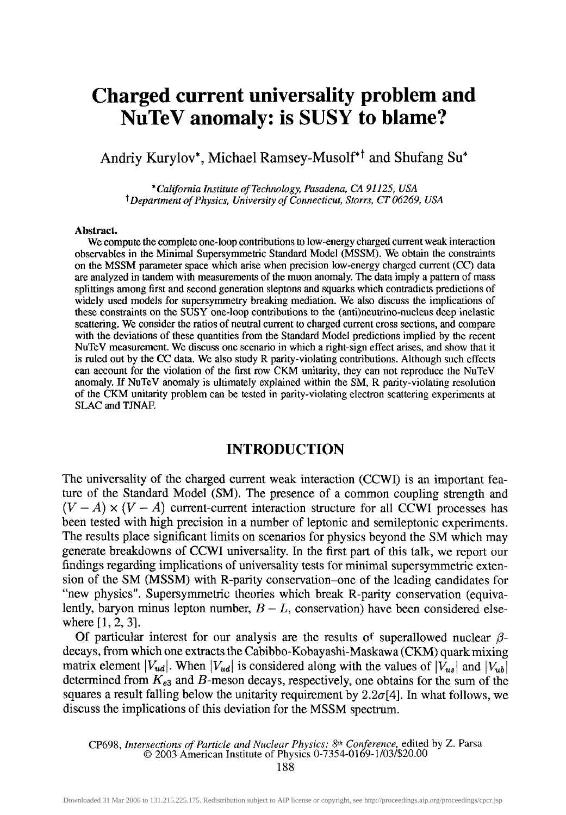# **Charged current universality problem and NuTeV anomaly: is SUSY to blame?**

Andriy Kurylov\*, Michael Ramsey-Musolf\*<sup>†</sup> and Shufang Su\*

\* *California Institute of Technology, Pasadena, CA 91125, USA* t *Department of Physics, University of Connecticut, Storrs, CT 06269, USA*

#### **Abstract.**

We compute the complete one-loop contributions to low-energy charged current weak interaction observables in the Minimal Supersymmetric Standard Model (MSSM). We obtain the constraints on the MSSM parameter space which arise when precision low-energy charged current (CC) data are analyzed in tandem with measurements of the muon anomaly. The data imply a pattern of mass splittings among first and second generation sleptons and squarks which contradicts predictions of widely used models for supersymmetry breaking mediation. We also discuss the implications of these constraints on the SUSY one-loop contributions to the (anti)neutrino-nucleus deep inelastic scattering. We consider the ratios of neutral current to charged current cross sections, and compare with the deviations of these quantities from the Standard Model predictions implied by the recent NuTeV measurement. We discuss one scenario in which a right-sign effect arises, and show that it is ruled out by the CC data. We also study R parity-violating contributions. Although such effects can account for the violation of the first row CKM unitarity, they can not reproduce the NuTeV anomaly. If NuTeV anomaly is ultimately explained within the SM, R parity-violating resolution of the CKM unitarity problem can be tested in parity-violating electron scattering experiments at SLAC and TJNAF.

### **INTRODUCTION**

The universality of the charged current weak interaction (CCWI) is an important feature of the Standard Model (SM). The presence of a common coupling strength and  $(V - A) \times (V - A)$  current-current interaction structure for all CCWI processes has been tested with high precision in a number of leptonic and semileptonic experiments. The results place significant limits on scenarios for physics beyond the SM which may generate breakdowns of CCWI universality. In the first part of this talk, we report our findings regarding implications of universality tests for minimal supersymmetric extension of the SM (MSSM) with R-parity conservation-one of the leading candidates for "new physics". Supersymmetric theories which break R-parity conservation (equivalently, baryon minus lepton number,  $B - L$ , conservation) have been considered elsewhere [1, 2, 3].

Of particular interest for our analysis are the results of superallowed nuclear */3* decays, from which one extracts the Cabibbo-Kobayashi-Maskawa (CKM) quark mixing matrix element  $\left|V_{ud}\right|$ . When  $\left|V_{ud}\right|$  is considered along with the values of  $\left|V_{us}\right|$  and  $\left|V_{ub}\right|$ determined from  $K_{e3}$  and  $B$ -meson decays, respectively, one obtains for the sum of the squares a result falling below the unitarity requirement by  $2.2\sigma[4]$ . In what follows, we discuss the implications of this deviation for the MSSM spectrum.

CP698, *Intersections of Particle and Nuclear Physics: 8th Conference,* edited by Z. Parsa © 2003 American Institute of Physics 0-7354-0169-l/03/\$20.00

188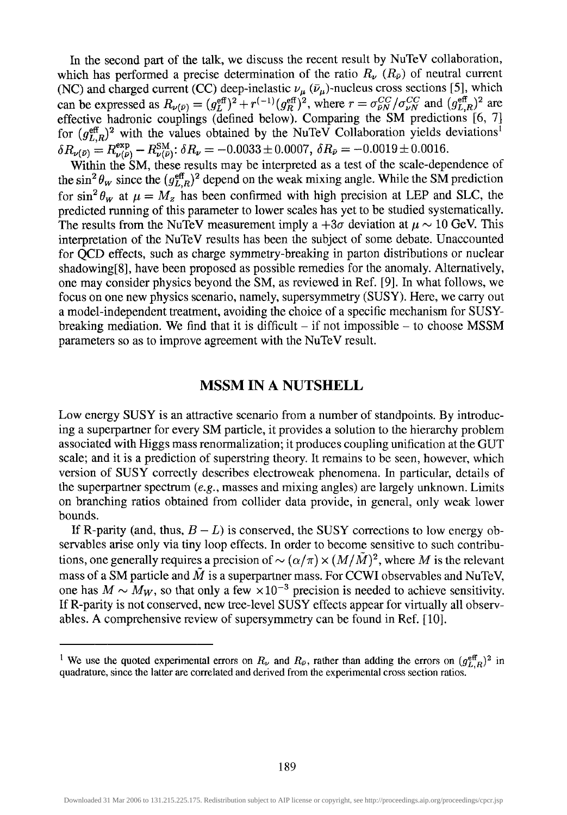In the second part of the talk, we discuss the recent result by NuTeV collaboration, which has performed a precise determination of the ratio  $R_\nu$  ( $R_\nu$ ) of neutral current (NC) and charged current (CC) deep-inelastic  $\nu_{\mu}$  ( $\bar{\nu}_{\mu}$ )-nucleus cross sections [5], which can be expressed as  $R_{\nu(\bar{\nu})} = (g_L^{\text{eff}})^2 + r^{(-1)}(g_R^{\text{eff}})^2$ , where  $r = \sigma_{\bar{\nu}N}^{CC}/\sigma_{\nu N}^{CC}$  and  $(g_{L,R}^{\text{eff}})^2$  are effective hadronic couplings (defined below). Comparing the SM predictions [6, 7] for  $(g_{LR}^{\text{eff}})^2$  with the values obtained by the NuTeV Collaboration yields deviations<sup>1</sup>  $\delta R_{\nu(\bar{\nu})} = R^{\text{exp}}_{\nu(\bar{\nu})} - R^{\text{SM}}_{\nu(\bar{\nu})}$ :  $\delta R_{\nu} = -0.0033 \pm 0.0007$ ,  $\delta R_{\bar{\nu}} = -0.0019 \pm 0.0016$ .

Within the SM, these results may be interpreted as a test of the scale-dependence of the  $\sin^2 \theta_w$  since the  $(g_{L,R}^{\text{eff}})^2$  depend on the weak mixing angle. While the SM prediction for  $\sin^2 \theta_w$  at  $\mu = M_z$  has been confirmed with high precision at LEP and SLC, the predicted running of this parameter to lower scales has yet to be studied systematically. The results from the NuTeV measurement imply a  $+3\sigma$  deviation at  $\mu \sim 10$  GeV. This interpretation of the NuTeV results has been the subject of some debate. Unaccounted for QCD effects, such as charge symmetry-breaking in parton distributions or nuclear shadowing[8], have been proposed as possible remedies for the anomaly. Alternatively, one may consider physics beyond the SM, as reviewed in Ref. [9]. In what follows, we focus on one new physics scenario, namely, supersymmetry (SUSY). Here, we carry out a model-independent treatment, avoiding the choice of a specific mechanism for SUSYbreaking mediation. We find that it is difficult  $-$  if not impossible  $-$  to choose MSSM parameters so as to improve agreement with the NuTeV result.

# **MSSM IN A NUTSHELL**

Low energy SUSY is an attractive scenario from a number of standpoints. By introducing a superpartner for every SM particle, it provides a solution to the hierarchy problem associated with Higgs mass renormalization; it produces coupling unification at the GUT scale; and it is a prediction of superstring theory. It remains to be seen, however, which version of SUSY correctly describes electroweak phenomena. In particular, details of the superpartner spectrum *(e.g.,* masses and mixing angles) are largely unknown. Limits on branching ratios obtained from collider data provide, in general, only weak lower bounds.

If R-parity (and, thus,  $B - L$ ) is conserved, the SUSY corrections to low energy observables arise only via tiny loop effects. In order to become sensitive to such contributions, one generally requires a precision of  $\sim (\alpha/\pi) \times (M/\tilde{M})^2$ , where M is the relevant mass of a SM particle and  $\overline{M}$  is a superpartner mass. For CCWI observables and NuTeV, one has  $M \sim M_W$ , so that only a few  $\times 10^{-3}$  precision is needed to achieve sensitivity. If R-parity is not conserved, new tree-level SUSY effects appear for virtually all observables. A comprehensive review of supersymmetry can be found in Ref. [10],

<sup>&</sup>lt;sup>1</sup> We use the quoted experimental errors on  $R_\nu$  and  $R_{\bar{\nu}}$ , rather than adding the errors on  $(g_{L,R}^{\text{eff}})^2$  in quadrature, since the latter are correlated and derived from the experimental cross section ratios.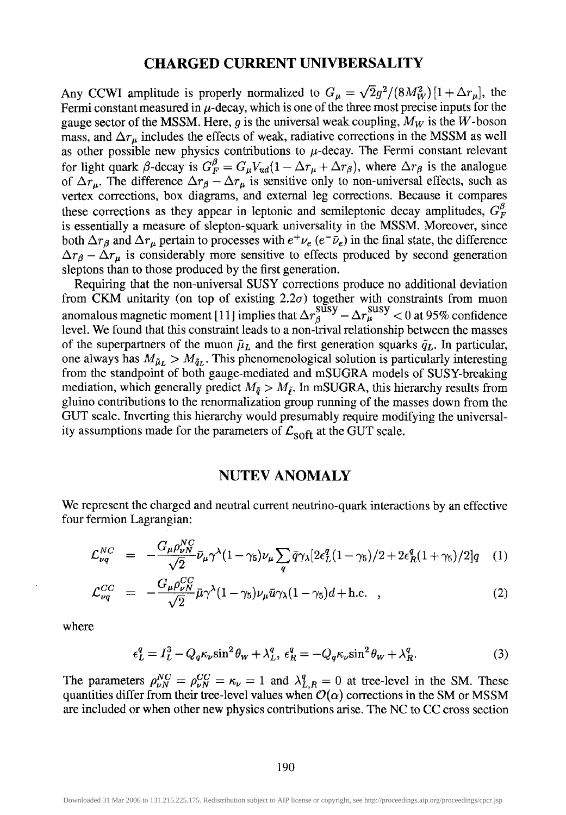# **CHARGED CURRENT UNIVBERSALITY**

Any CCWI amplitude is properly normalized to  $G_{\mu} = \sqrt{2} g^2 / (8M_W^2) [1 + \Delta r_{\mu}]$ , the Fermi constant measured in  $\mu$ -decay, which is one of the three most precise inputs for the gauge sector of the MSSM. Here,  $g$  is the universal weak coupling,  $M_W$  is the  $W$ -boson mass, and  $\Delta r_\mu$  includes the effects of weak, radiative corrections in the MSSM as well as other possible new physics contributions to  $\mu$ -decay. The Fermi constant relevant for light quark  $\beta$ -decay is  $G_F^{\beta} = G_{\mu} V_{ud} (1 - \Delta r_{\mu} + \Delta r_{\beta})$ , where  $\Delta r_{\beta}$  is the analogue of  $\Delta r_\mu$ . The difference  $\Delta r_\beta - \Delta r_\mu$  is sensitive only to non-universal effects, such as vertex corrections, box diagrams, and external leg corrections. Because it compares these corrections as they appear in leptonic and semileptonic decay amplitudes,  $G_F^{\beta}$ is essentially a measure of slepton-squark universality in the MSSM. Moreover, since both  $\Delta r_\beta$  and  $\Delta r_\mu$  pertain to processes with  $e^+\nu_e$  ( $e^-\bar{\nu}_e$ ) in the final state, the difference  $\Delta r_{\beta} - \Delta r_{\mu}$  is considerably more sensitive to effects produced by second generation sleptons than to those produced by the first generation.

Requiring that the non-universal SUSY corrections produce no additional deviation from CKM unitarity (on top of existing  $2.2\sigma$ ) together with constraints from muon anomalous magnetic moment [11] implies that  $\Delta r_\beta^{\text{SUSY}} - \Delta r_\mu^{\text{SUSY}} < 0$  at 95% confidence level. We found that this constraint leads to a non-trival relationship between the masses of the superpartners of the muon  $\tilde{\mu}_L$  and the first generation squarks  $\tilde{q}_L$ . In particular, one always has  $M_{\tilde{\mu}_L} > M_{\tilde{q}_L}$ . This phenomenological solution is particularly interesting from the standpoint of both gauge-mediated and mSUGRA models of SUSY-breaking mediation, which generally predict  $M_{\tilde{q}} > M_{\tilde{t}}$ . In mSUGRA, this hierarchy results from gluino contributions to the renormalization group running of the masses down from the GUT scale. Inverting this hierarchy would presumably require modifying the universality assumptions made for the parameters of  $\mathcal{L}_{\text{soft}}$  at the GUT scale.

#### NUTEV ANOMALY

We represent the charged and neutral current neutrino-quark interactions by an effective four fermion Lagrangian:

$$
\mathcal{L}_{\nu q}^{NC} = -\frac{G_{\mu} \rho_{\nu N}^{NC}}{\sqrt{2}} \bar{\nu}_{\mu} \gamma^{\lambda} (1 - \gamma_5) \nu_{\mu} \sum_{q} \bar{q} \gamma_{\lambda} [2 \epsilon_L^q (1 - \gamma_5)/2 + 2 \epsilon_R^q (1 + \gamma_5)/2] q \quad (1)
$$

$$
\mathcal{L}_{\nu q}^{CC} = -\frac{G_{\mu} \rho_{\nu N}^{CC}}{\sqrt{2}} \bar{\mu} \gamma^{\lambda} (1 - \gamma_5) \nu_{\mu} \bar{u} \gamma_{\lambda} (1 - \gamma_5) d + \text{h.c.} , \qquad (2)
$$

where

$$
\epsilon_L^q = I_L^3 - Q_q \kappa_\nu \sin^2 \theta_W + \lambda_L^q, \ \epsilon_R^q = -Q_q \kappa_\nu \sin^2 \theta_W + \lambda_R^q. \tag{3}
$$

The parameters  $\rho_{vN}^{NC} = \rho_{vN}^{CC} = \kappa_{v} = 1$  and  $\lambda_{L,R}^{q} = 0$  at tree-level in the SM. These quantities differ from their tree-level values when  $\mathcal{O}(\alpha)$  corrections in the SM or MSSM are included or when other new physics contributions arise. The NC to CC cross section